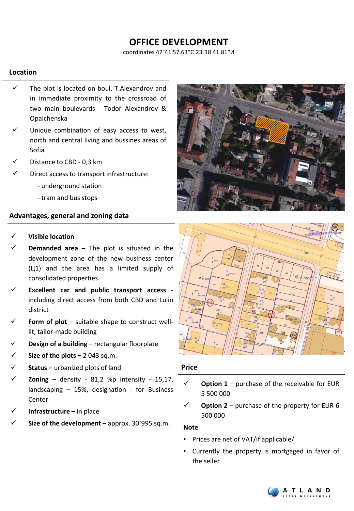# **OFFICE DEVELOPMENT**

coordinates 42°41'57.63"С 23°18'41.81"И

## **Location**

- The plot is located on boul. T.Alexandrov and in immediate proximity to the crossroad of two main boulevards - Todor Alexandrov & Opalchenska
- Unique combination of easy access to west, north and central living and bussines areas of Sofia
- Distance to CBD 0,3 km
- Direct access to transport infrastructure:
	- underground station
	- tram and bus stops

## **Advantages, general and zoning data**

- ✓ **Visible location**
- **Demanded area** The plot is situated in the development zone of the new business center (Ц1) and the area has a limited supply of consolidated properties
- ✓ **Excellent car and public transport access** including direct access from both CBD and Lulin district
- **Form of plot** suitable shape to construct welllit, tailor-made building
- ✓ **Design of a building** rectangular floorplate
- ✓ **Size of the plots –** 2 043 sq.m.
- **Status** urbanized plots of land
- $\text{Zoning}$  density 81,2 %p intensity 15,17, landscaping – 15%, designation - for Business Center
- **Infrastructure** in place
- ✓ **Size of the development –** approx. 30`995 sq.m.





#### **Price**

- **Option 1** purchase of the receivable for EUR 5 500 000
- **Option 2** purchase of the property for EUR 6 500 000

#### **Note**

- Prices are net of VAT/if applicable/
- Currently the property is mortgaged in favor of the seller